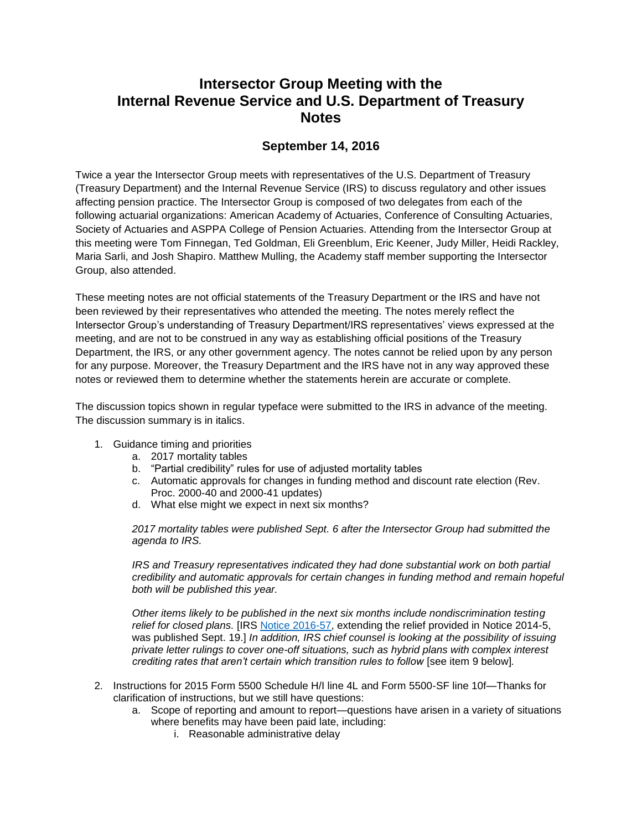## **Intersector Group Meeting with the Internal Revenue Service and U.S. Department of Treasury Notes**

## **September 14, 2016**

Twice a year the Intersector Group meets with representatives of the U.S. Department of Treasury (Treasury Department) and the Internal Revenue Service (IRS) to discuss regulatory and other issues affecting pension practice. The Intersector Group is composed of two delegates from each of the following actuarial organizations: American Academy of Actuaries, Conference of Consulting Actuaries, Society of Actuaries and ASPPA College of Pension Actuaries. Attending from the Intersector Group at this meeting were Tom Finnegan, Ted Goldman, Eli Greenblum, Eric Keener, Judy Miller, Heidi Rackley, Maria Sarli, and Josh Shapiro. Matthew Mulling, the Academy staff member supporting the Intersector Group, also attended.

These meeting notes are not official statements of the Treasury Department or the IRS and have not been reviewed by their representatives who attended the meeting. The notes merely reflect the Intersector Group's understanding of Treasury Department/IRS representatives' views expressed at the meeting, and are not to be construed in any way as establishing official positions of the Treasury Department, the IRS, or any other government agency. The notes cannot be relied upon by any person for any purpose. Moreover, the Treasury Department and the IRS have not in any way approved these notes or reviewed them to determine whether the statements herein are accurate or complete.

The discussion topics shown in regular typeface were submitted to the IRS in advance of the meeting. The discussion summary is in italics.

- 1. Guidance timing and priorities
	- a. 2017 mortality tables
	- b. "Partial credibility" rules for use of adjusted mortality tables
	- c. Automatic approvals for changes in funding method and discount rate election (Rev. Proc. 2000-40 and 2000-41 updates)
	- d. What else might we expect in next six months?

*2017 mortality tables were published Sept. 6 after the Intersector Group had submitted the agenda to IRS.*

*IRS and Treasury representatives indicated they had done substantial work on both partial credibility and automatic approvals for certain changes in funding method and remain hopeful both will be published this year.*

*Other items likely to be published in the next six months include nondiscrimination testing relief for closed plans.* [IRS [Notice 2016-57,](http://links.govdelivery.com/track?type=click&enid=ZWFzPTEmbWFpbGluZ2lkPTIwMTYwOTE5LjYzOTM0MTkxJm1lc3NhZ2VpZD1NREItUFJELUJVTC0yMDE2MDkxOS42MzkzNDE5MSZkYXRhYmFzZWlkPTEwMDEmc2VyaWFsPTE3MTAxMDc4JmVtYWlsaWQ9aGVpZGkucmFja2xleUBtZXJjZXIuY29tJnVzZXJpZD1oZWlkaS5yYWNrbGV5QG1lcmNlci5jb20mZmw9JmV4dHJhPU11bHRpdmFyaWF0ZUlkPSYmJg==&&&117&&&https://www.irs.gov/pub/irs-drop/n-16-57.pdf) extending the relief provided in Notice 2014-5, was published Sept. 19.] *In addition, IRS chief counsel is looking at the possibility of issuing private letter rulings to cover one-off situations, such as hybrid plans with complex interest crediting rates that aren't certain which transition rules to follow* [see item 9 below]*.*

- 2. Instructions for 2015 Form 5500 Schedule H/I line 4L and Form 5500-SF line 10f—Thanks for clarification of instructions, but we still have questions:
	- a. Scope of reporting and amount to report—questions have arisen in a variety of situations where benefits may have been paid late, including:
		- i. Reasonable administrative delay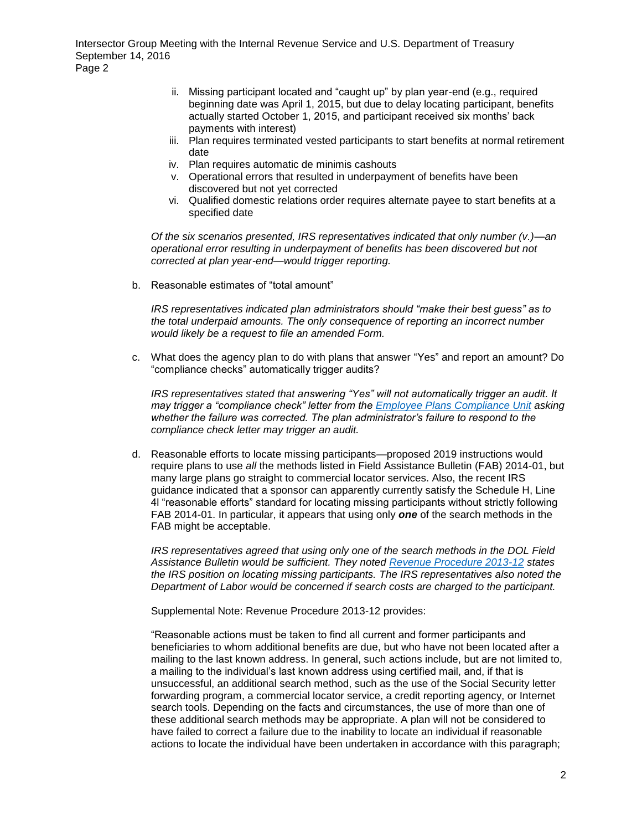- ii. Missing participant located and "caught up" by plan year-end (e.g., required beginning date was April 1, 2015, but due to delay locating participant, benefits actually started October 1, 2015, and participant received six months' back payments with interest)
- iii. Plan requires terminated vested participants to start benefits at normal retirement date
- iv. Plan requires automatic de minimis cashouts
- v. Operational errors that resulted in underpayment of benefits have been discovered but not yet corrected
- vi. Qualified domestic relations order requires alternate payee to start benefits at a specified date

*Of the six scenarios presented, IRS representatives indicated that only number (v.)—an operational error resulting in underpayment of benefits has been discovered but not corrected at plan year-end—would trigger reporting.*

b. Reasonable estimates of "total amount"

*IRS representatives indicated plan administrators should "make their best guess" as to the total underpaid amounts. The only consequence of reporting an incorrect number would likely be a request to file an amended Form.*

c. What does the agency plan to do with plans that answer "Yes" and report an amount? Do "compliance checks" automatically trigger audits?

*IRS representatives stated that answering "Yes" will not automatically trigger an audit. It may trigger a "compliance check" letter from the [Employee Plans Compliance Unit](https://www.irs.gov/retirement-plans/employee-plans-compliance-unit-epcu-current-projects-failure-to-provide-a-benefit) asking whether the failure was corrected. The plan administrator's failure to respond to the compliance check letter may trigger an audit.*

d. Reasonable efforts to locate missing participants—proposed 2019 instructions would require plans to use *all* the methods listed in Field Assistance Bulletin (FAB) 2014-01, but many large plans go straight to commercial locator services. Also, the recent IRS guidance indicated that a sponsor can apparently currently satisfy the Schedule H, Line 4l "reasonable efforts" standard for locating missing participants without strictly following FAB 2014-01. In particular, it appears that using only *one* of the search methods in the FAB might be acceptable.

*IRS representatives agreed that using only one of the search methods in the DOL Field Assistance Bulletin would be sufficient. They noted [Revenue Procedure 2013-12](https://www.irs.gov/pub/irs-drop/rp-13-12.pdf) states the IRS position on locating missing participants. The IRS representatives also noted the Department of Labor would be concerned if search costs are charged to the participant.*

Supplemental Note: Revenue Procedure 2013-12 provides:

"Reasonable actions must be taken to find all current and former participants and beneficiaries to whom additional benefits are due, but who have not been located after a mailing to the last known address. In general, such actions include, but are not limited to, a mailing to the individual's last known address using certified mail, and, if that is unsuccessful, an additional search method, such as the use of the Social Security letter forwarding program, a commercial locator service, a credit reporting agency, or Internet search tools. Depending on the facts and circumstances, the use of more than one of these additional search methods may be appropriate. A plan will not be considered to have failed to correct a failure due to the inability to locate an individual if reasonable actions to locate the individual have been undertaken in accordance with this paragraph;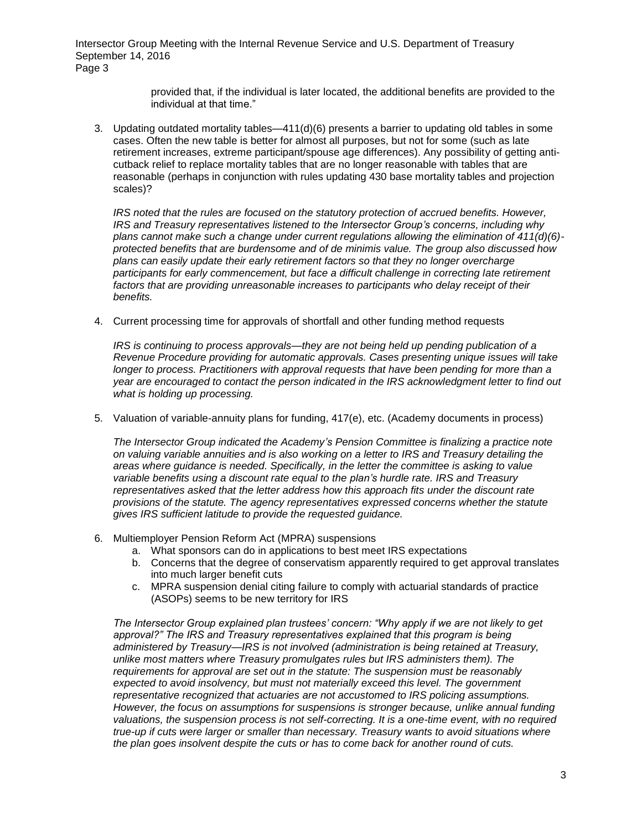> provided that, if the individual is later located, the additional benefits are provided to the individual at that time."

3. Updating outdated mortality tables—411(d)(6) presents a barrier to updating old tables in some cases. Often the new table is better for almost all purposes, but not for some (such as late retirement increases, extreme participant/spouse age differences). Any possibility of getting anticutback relief to replace mortality tables that are no longer reasonable with tables that are reasonable (perhaps in conjunction with rules updating 430 base mortality tables and projection scales)?

*IRS noted that the rules are focused on the statutory protection of accrued benefits. However, IRS and Treasury representatives listened to the Intersector Group's concerns, including why plans cannot make such a change under current regulations allowing the elimination of 411(d)(6) protected benefits that are burdensome and of de minimis value. The group also discussed how plans can easily update their early retirement factors so that they no longer overcharge participants for early commencement, but face a difficult challenge in correcting late retirement*  factors that are providing unreasonable increases to participants who delay receipt of their *benefits.*

4. Current processing time for approvals of shortfall and other funding method requests

*IRS is continuing to process approvals—they are not being held up pending publication of a Revenue Procedure providing for automatic approvals. Cases presenting unique issues will take longer to process. Practitioners with approval requests that have been pending for more than a year are encouraged to contact the person indicated in the IRS acknowledgment letter to find out what is holding up processing.* 

5. Valuation of variable-annuity plans for funding, 417(e), etc. (Academy documents in process)

*The Intersector Group indicated the Academy's Pension Committee is finalizing a practice note on valuing variable annuities and is also working on a letter to IRS and Treasury detailing the areas where guidance is needed. Specifically, in the letter the committee is asking to value variable benefits using a discount rate equal to the plan's hurdle rate. IRS and Treasury representatives asked that the letter address how this approach fits under the discount rate provisions of the statute. The agency representatives expressed concerns whether the statute gives IRS sufficient latitude to provide the requested guidance.* 

- 6. Multiemployer Pension Reform Act (MPRA) suspensions
	- a. What sponsors can do in applications to best meet IRS expectations
	- b. Concerns that the degree of conservatism apparently required to get approval translates into much larger benefit cuts
	- c. MPRA suspension denial citing failure to comply with actuarial standards of practice (ASOPs) seems to be new territory for IRS

*The Intersector Group explained plan trustees' concern: "Why apply if we are not likely to get approval?" The IRS and Treasury representatives explained that this program is being administered by Treasury—IRS is not involved (administration is being retained at Treasury, unlike most matters where Treasury promulgates rules but IRS administers them). The requirements for approval are set out in the statute: The suspension must be reasonably expected to avoid insolvency, but must not materially exceed this level. The government representative recognized that actuaries are not accustomed to IRS policing assumptions. However, the focus on assumptions for suspensions is stronger because, unlike annual funding valuations, the suspension process is not self-correcting. It is a one-time event, with no required true-up if cuts were larger or smaller than necessary. Treasury wants to avoid situations where the plan goes insolvent despite the cuts or has to come back for another round of cuts.*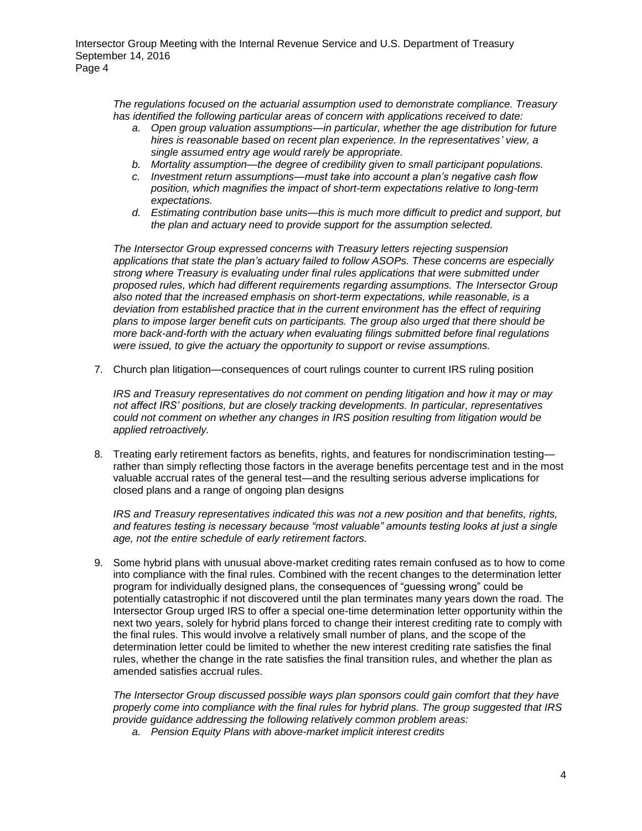*The regulations focused on the actuarial assumption used to demonstrate compliance. Treasury has identified the following particular areas of concern with applications received to date:*

- *a. Open group valuation assumptions—in particular, whether the age distribution for future hires is reasonable based on recent plan experience. In the representatives' view, a single assumed entry age would rarely be appropriate.*
- *b. Mortality assumption—the degree of credibility given to small participant populations.*
- *c. Investment return assumptions—must take into account a plan's negative cash flow position, which magnifies the impact of short-term expectations relative to long-term expectations.*
- *d. Estimating contribution base units—this is much more difficult to predict and support, but the plan and actuary need to provide support for the assumption selected.*

*The Intersector Group expressed concerns with Treasury letters rejecting suspension applications that state the plan's actuary failed to follow ASOPs. These concerns are especially strong where Treasury is evaluating under final rules applications that were submitted under proposed rules, which had different requirements regarding assumptions. The Intersector Group also noted that the increased emphasis on short-term expectations, while reasonable, is a deviation from established practice that in the current environment has the effect of requiring plans to impose larger benefit cuts on participants. The group also urged that there should be more back-and-forth with the actuary when evaluating filings submitted before final regulations were issued, to give the actuary the opportunity to support or revise assumptions.*

7. Church plan litigation—consequences of court rulings counter to current IRS ruling position

*IRS and Treasury representatives do not comment on pending litigation and how it may or may not affect IRS' positions, but are closely tracking developments. In particular, representatives could not comment on whether any changes in IRS position resulting from litigation would be applied retroactively.*

8. Treating early retirement factors as benefits, rights, and features for nondiscrimination testing rather than simply reflecting those factors in the average benefits percentage test and in the most valuable accrual rates of the general test—and the resulting serious adverse implications for closed plans and a range of ongoing plan designs

*IRS and Treasury representatives indicated this was not a new position and that benefits, rights, and features testing is necessary because "most valuable" amounts testing looks at just a single age, not the entire schedule of early retirement factors.*

9. Some hybrid plans with unusual above-market crediting rates remain confused as to how to come into compliance with the final rules. Combined with the recent changes to the determination letter program for individually designed plans, the consequences of "guessing wrong" could be potentially catastrophic if not discovered until the plan terminates many years down the road. The Intersector Group urged IRS to offer a special one-time determination letter opportunity within the next two years, solely for hybrid plans forced to change their interest crediting rate to comply with the final rules. This would involve a relatively small number of plans, and the scope of the determination letter could be limited to whether the new interest crediting rate satisfies the final rules, whether the change in the rate satisfies the final transition rules, and whether the plan as amended satisfies accrual rules.

*The Intersector Group discussed possible ways plan sponsors could gain comfort that they have properly come into compliance with the final rules for hybrid plans. The group suggested that IRS provide guidance addressing the following relatively common problem areas:*

*a. Pension Equity Plans with above-market implicit interest credits*